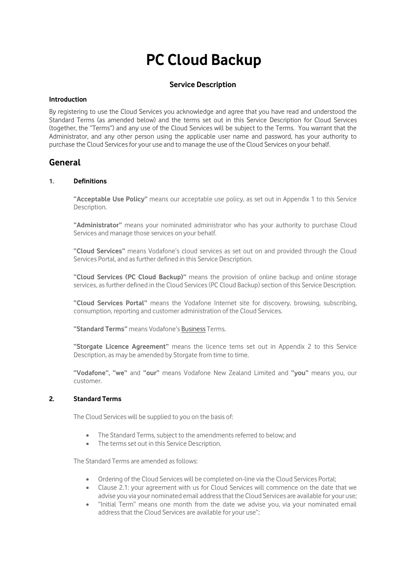# **PC Cloud Backup**

# **Service Description**

#### **Introduction**

By registering to use the Cloud Services you acknowledge and agree that you have read and understood the Standard Terms (as amended below) and the terms set out in this Service Description for Cloud Services (together, the "Terms") and any use of the Cloud Services will be subject to the Terms. You warrant that the Administrator, and any other person using the applicable user name and password, has your authority to purchase the Cloud Services for your use and to manage the use of the Cloud Services on your behalf.

# **General**

#### **1. Definitions**

**"Acceptable Use Policy"** means our acceptable use policy, as set out in Appendix 1 to this Service Description.

**"Administrator"** means your nominated administrator who has your authority to purchase Cloud Services and manage those services on your behalf.

**"Cloud Services"** means Vodafone's cloud services as set out on and provided through the Cloud Services Portal, and as further defined in this Service Description.

**"Cloud Services (PC Cloud Backup)"** means the provision of online backup and online storage services, as further defined in the Cloud Services (PC Cloud Backup) section of this Service Description.

**"Cloud Services Portal"** means the Vodafone Internet site for discovery, browsing, subscribing, consumption, reporting and customer administration of the Cloud Services.

**"Standard Terms"** means Vodafone's [Business](http://www.vodafone.co.nz/legal/terms-conditions/business-terms/) Terms.

**"Storgate Licence Agreement"** means the licence tems set out in Appendix 2 to this Service Description, as may be amended by Storgate from time to time.

**"Vodafone", "we"** and **"our"** means Vodafone New Zealand Limited and **"you"** means you, our customer.

# **2. Standard Terms**

The Cloud Services will be supplied to you on the basis of:

- The Standard Terms, subject to the amendments referred to below; and
- The terms set out in this Service Description.

The Standard Terms are amended as follows:

- Ordering of the Cloud Services will be completed on-line via the Cloud Services Portal;
- Clause 2.1: your agreement with us for Cloud Services will commence on the date that we advise you via your nominated email address that the Cloud Services are available for your use;
- "Initial Term" means one month from the date we advise you, via your nominated email address that the Cloud Services are available for your use";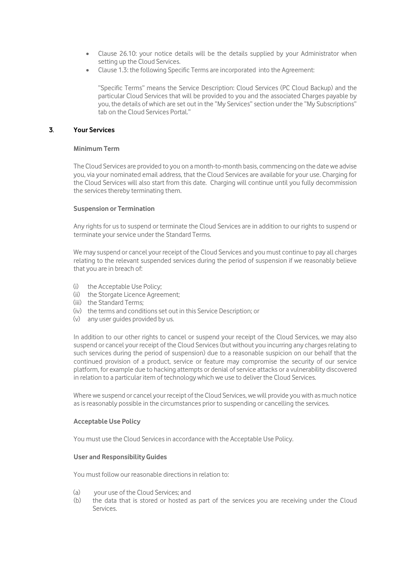- Clause 26.10: your notice details will be the details supplied by your Administrator when setting up the Cloud Services.
- Clause 1.3: the following Specific Terms are incorporated into the Agreement:

"Specific Terms" means the Service Description: Cloud Services (PC Cloud Backup) and the particular Cloud Services that will be provided to you and the associated Charges payable by you, the details of which are set out in the "My Services" section under the "My Subscriptions" tab on the Cloud Services Portal."

#### **3**. **Your Services**

#### **Minimum Term**

The Cloud Services are provided to you on a month-to-month basis, commencing on the date we advise you, via your nominated email address, that the Cloud Services are available for your use. Charging for the Cloud Services will also start from this date. Charging will continue until you fully decommission the services thereby terminating them.

#### **Suspension or Termination**

Any rights for us to suspend or terminate the Cloud Services are in addition to our rights to suspend or terminate your service under the Standard Terms.

We may suspend or cancel your receipt of the Cloud Services and you must continue to pay all charges relating to the relevant suspended services during the period of suspension if we reasonably believe that you are in breach of:

- (i) the Acceptable Use Policy;
- (ii) the Storgate Licence Agreement;
- (iii) the Standard Terms;
- (iv) the terms and conditions set out in this Service Description; or
- (v) any user guides provided by us.

In addition to our other rights to cancel or suspend your receipt of the Cloud Services, we may also suspend or cancel your receipt of the Cloud Services (but without you incurring any charges relating to such services during the period of suspension) due to a reasonable suspicion on our behalf that the continued provision of a product, service or feature may compromise the security of our service platform, for example due to hacking attempts or denial of service attacks or a vulnerability discovered in relation to a particular item of technology which we use to deliver the Cloud Services.

Where we suspend or cancel your receipt of the Cloud Services, we will provide you with as much notice as is reasonably possible in the circumstances prior to suspending or cancelling the services.

#### **Acceptable Use Policy**

You must use the Cloud Services in accordance with the Acceptable Use Policy.

#### **User and Responsibility Guides**

You must follow our reasonable directions in relation to:

- (a) your use of the Cloud Services; and
- (b) the data that is stored or hosted as part of the services you are receiving under the Cloud Services.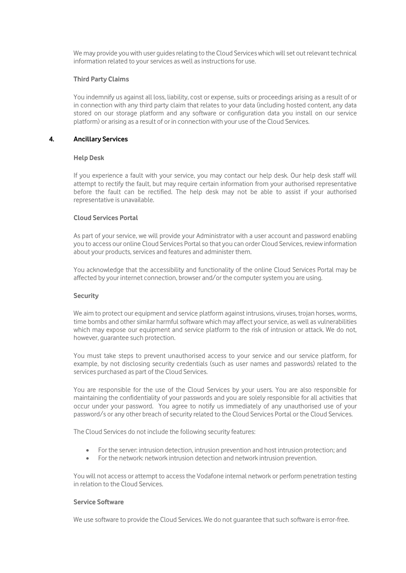We may provide you with user guides relating to the Cloud Services which will set out relevant technical information related to your services as well as instructions for use.

#### **Third Party Claims**

You indemnify us against all loss, liability, cost or expense, suits or proceedings arising as a result of or in connection with any third party claim that relates to your data (including hosted content, any data stored on our storage platform and any software or configuration data you install on our service platform) or arising as a result of or in connection with your use of the Cloud Services.

#### **4. Ancillary Services**

#### **Help Desk**

If you experience a fault with your service, you may contact our help desk. Our help desk staff will attempt to rectify the fault, but may require certain information from your authorised representative before the fault can be rectified. The help desk may not be able to assist if your authorised representative is unavailable.

#### **Cloud Services Portal**

As part of your service, we will provide your Administrator with a user account and password enabling you to access our online Cloud Services Portal so that you can order Cloud Services, review information about your products, services and features and administer them.

You acknowledge that the accessibility and functionality of the online Cloud Services Portal may be affected by your internet connection, browser and/or the computer system you are using.

#### **Security**

We aim to protect our equipment and service platform against intrusions, viruses, trojan horses, worms, time bombs and other similar harmful software which may affect your service, as well as vulnerabilities which may expose our equipment and service platform to the risk of intrusion or attack. We do not, however, guarantee such protection.

You must take steps to prevent unauthorised access to your service and our service platform, for example, by not disclosing security credentials (such as user names and passwords) related to the services purchased as part of the Cloud Services.

You are responsible for the use of the Cloud Services by your users. You are also responsible for maintaining the confidentiality of your passwords and you are solely responsible for all activities that occur under your password. You agree to notify us immediately of any unauthorised use of your password/s or any other breach of security related to the Cloud Services Portal or the Cloud Services.

The Cloud Services do not include the following security features:

- For the server: intrusion detection, intrusion prevention and host intrusion protection; and
- For the network: network intrusion detection and network intrusion prevention.

You will not access or attempt to access the Vodafone internal network or perform penetration testing in relation to the Cloud Services.

#### **Service Software**

We use software to provide the Cloud Services. We do not guarantee that such software is error-free.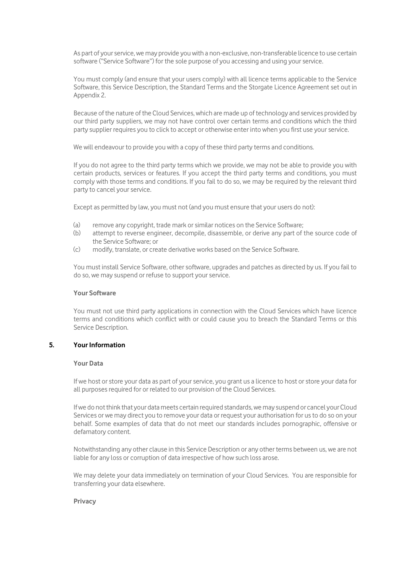As part of your service, we may provide you with a non-exclusive, non-transferable licence to use certain software ("Service Software") for the sole purpose of you accessing and using your service.

You must comply (and ensure that your users comply) with all licence terms applicable to the Service Software, this Service Description, the Standard Terms and the Storgate Licence Agreement set out in Appendix 2.

Because of the nature of the Cloud Services, which are made up of technology and services provided by our third party suppliers, we may not have control over certain terms and conditions which the third party supplier requires you to click to accept or otherwise enter into when you first use your service.

We will endeavour to provide you with a copy of these third party terms and conditions.

If you do not agree to the third party terms which we provide, we may not be able to provide you with certain products, services or features. If you accept the third party terms and conditions, you must comply with those terms and conditions. If you fail to do so, we may be required by the relevant third party to cancel your service.

Except as permitted by law, you must not (and you must ensure that your users do not):

- (a) remove any copyright, trade mark or similar notices on the Service Software;
- (b) attempt to reverse engineer, decompile, disassemble, or derive any part of the source code of the Service Software; or
- (c) modify, translate, or create derivative works based on the Service Software.

You must install Service Software, other software, upgrades and patches as directed by us. If you fail to do so, we may suspend or refuse to support your service.

#### **Your Software**

You must not use third party applications in connection with the Cloud Services which have licence terms and conditions which conflict with or could cause you to breach the Standard Terms or this Service Description.

### **5. Your Information**

#### **Your Data**

If we host or store your data as part of your service, you grant us a licence to host or store your data for all purposes required for or related to our provision of the Cloud Services.

If we do not think that your data meets certain required standards, we may suspend or cancel your Cloud Services or we may direct you to remove your data or request your authorisation for us to do so on your behalf. Some examples of data that do not meet our standards includes pornographic, offensive or defamatory content.

Notwithstanding any other clause in this Service Description or any other terms between us, we are not liable for any loss or corruption of data irrespective of how such loss arose.

We may delete your data immediately on termination of your Cloud Services. You are responsible for transferring your data elsewhere.

#### **Privacy**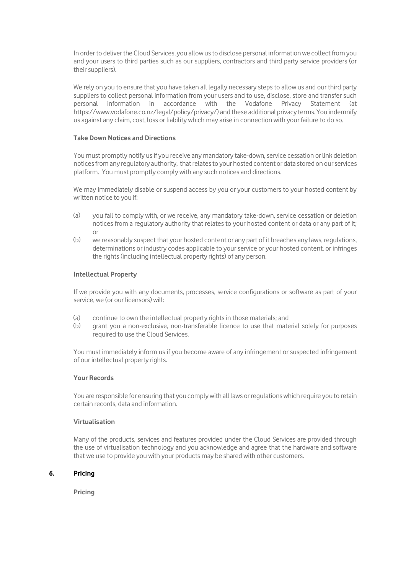In order to deliver the Cloud Services, you allow us to disclose personal information we collect from you and your users to third parties such as our suppliers, contractors and third party service providers (or their suppliers).

We rely on you to ensure that you have taken all legally necessary steps to allow us and our third party suppliers to collect personal information from your users and to use, disclose, store and transfer such personal information in accordance with the Vodafone Privacy Statement (at https://www.vodafone.co.nz/legal/policy/privacy/) and these additional privacy terms. You indemnify us against any claim, cost, loss or liability which may arise in connection with your failure to do so.

#### **Take Down Notices and Directions**

You must promptly notify us if you receive any mandatory take-down, service cessation or link deletion notices from any regulatory authority, that relates to your hosted content or data stored on our services platform. You must promptly comply with any such notices and directions.

We may immediately disable or suspend access by you or your customers to your hosted content by written notice to you if:

- (a) you fail to comply with, or we receive, any mandatory take-down, service cessation or deletion notices from a regulatory authority that relates to your hosted content or data or any part of it;  $\cap$ r
- (b) we reasonably suspect that your hosted content or any part of it breaches any laws, regulations, determinations or industry codes applicable to your service or your hosted content, or infringes the rights (including intellectual property rights) of any person.

#### **Intellectual Property**

If we provide you with any documents, processes, service configurations or software as part of your service, we (or our licensors) will:

- (a) continue to own the intellectual property rights in those materials; and
- (b) grant you a non-exclusive, non-transferable licence to use that material solely for purposes required to use the Cloud Services.

You must immediately inform us if you become aware of any infringement or suspected infringement of our intellectual property rights.

#### **Your Records**

You are responsible for ensuring that you comply with all laws or regulations which require you to retain certain records, data and information.

# **Virtualisation**

Many of the products, services and features provided under the Cloud Services are provided through the use of virtualisation technology and you acknowledge and agree that the hardware and software that we use to provide you with your products may be shared with other customers.

## **6. Pricing**

**Pricing**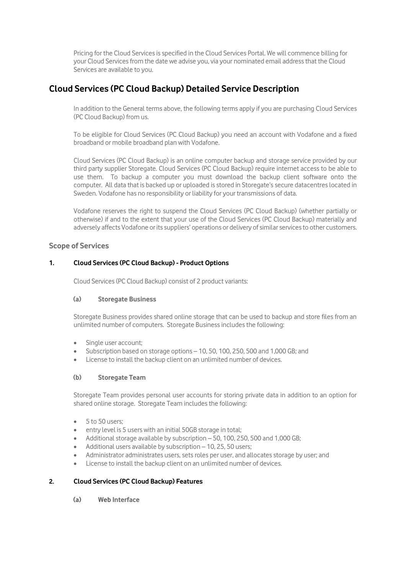Pricing for the Cloud Services is specified in the Cloud Services Portal. We will commence billing for your Cloud Services from the date we advise you, via your nominated email address that the Cloud Services are available to you.

# **Cloud Services (PC Cloud Backup) Detailed Service Description**

In addition to the General terms above, the following terms apply if you are purchasing Cloud Services (PC Cloud Backup) from us.

To be eligible for Cloud Services (PC Cloud Backup) you need an account with Vodafone and a fixed broadband or mobile broadband plan with Vodafone.

Cloud Services (PC Cloud Backup) is an online computer backup and storage service provided by our third party supplier Storegate. Cloud Services (PC Cloud Backup) require internet access to be able to use them. To backup a computer you must download the backup client software onto the computer. All data that is backed up or uploaded is stored in Storegate's secure datacentres located in Sweden. Vodafone has no responsibility or liability for your transmissions of data.

Vodafone reserves the right to suspend the Cloud Services (PC Cloud Backup) (whether partially or otherwise) if and to the extent that your use of the Cloud Services (PC Cloud Backup) materially and adversely affects Vodafone or its suppliers' operations or delivery of similar services to other customers.

# **Scope of Services**

# **1. Cloud Services (PC Cloud Backup) - Product Options**

Cloud Services (PC Cloud Backup) consist of 2 product variants:

## **(a) Storegate Business**

Storegate Business provides shared online storage that can be used to backup and store files from an unlimited number of computers. Storegate Business includes the following:

- Single user account;
- Subscription based on storage options 10, 50, 100, 250, 500 and 1,000 GB; and
- License to install the backup client on an unlimited number of devices.

## **(b) Storegate Team**

Storegate Team provides personal user accounts for storing private data in addition to an option for shared online storage. Storegate Team includes the following:

- $\bullet$  5 to 50 users;
- entry level is 5 users with an initial 50GB storage in total;
- Additional storage available by subscription 50, 100, 250, 500 and 1,000 GB;
- Additional users available by subscription 10, 25, 50 users;
- Administrator administrates users, sets roles per user, and allocates storage by user; and
- License to install the backup client on an unlimited number of devices.

# **2. Cloud Services (PC Cloud Backup) Features**

**(a) Web Interface**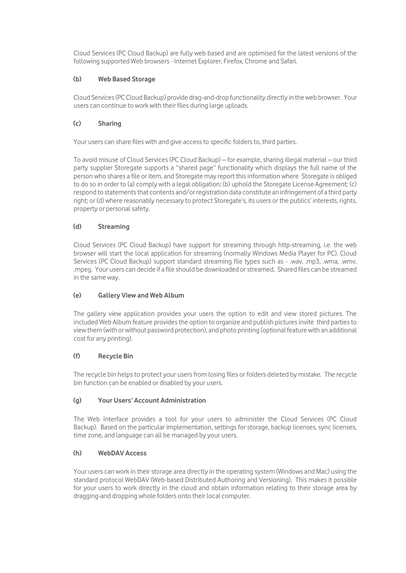Cloud Services (PC Cloud Backup) are fully web based and are optimised for the latest versions of the following supported Web browsers - Internet Explorer, Firefox, Chrome and Safari.

# **(b) Web Based Storage**

Cloud Services (PC Cloud Backup) provide drag-and-drop functionality directly in the web browser. Your users can continue to work with their files during large uploads.

# **(c) Sharing**

Your users can share files with and give access to specific folders to, third parties.

To avoid misuse of Cloud Services (PC Cloud Backup) – for example, sharing illegal material – our third party supplier Storegate supports a "shared page" functionality which displays the full name of the person who shares a file or item, and Storegate may report this information where Storegate is obliged to do so in order to (a) comply with a legal obligation; (b) uphold the Storegate License Agreement; (c) respond to statements that contents and/or registration data constitute an infringement of a third party right; or (d) where reasonably necessary to protect Storegate's, its users or the publics' interests, rights, property or personal safety.

# **(d) Streaming**

Cloud Services (PC Cloud Backup) have support for streaming through http-streaming, i.e. the web browser will start the local application for streaming (normally Windows Media Player for PC). Cloud Services (PC Cloud Backup) support standard streaming file types such as - .wav, .mp3, .wma, .wmv, .mpeg. Your users can decide if a file should be downloaded or streamed. Shared files can be streamed in the same way.

## **(e) Gallery View and Web Album**

The gallery view application provides your users the option to edit and view stored pictures. The included Web Album feature provides the option to organize and publish pictures invite third parties to view them (with or without password protection), and photo printing (optional feature with an additional cost for any printing).

## **(f) Recycle Bin**

The recycle bin helps to protect your users from losing files or folders deleted by mistake. The recycle bin function can be enabled or disabled by your users.

## **(g) Your Users' Account Administration**

The Web Interface provides a tool for your users to administer the Cloud Services (PC Cloud Backup). Based on the particular implementation, settings for storage, backup licenses, sync licenses, time zone, and language can all be managed by your users.

# **(h) WebDAV Access**

Your users can work in their storage area directly in the operating system (Windows and Mac) using the standard protocol WebDAV (Web-based Distributed Authoring and Versioning). This makes it possible for your users to work directly in the cloud and obtain information relating to their storage area by dragging-and dropping whole folders onto their local computer.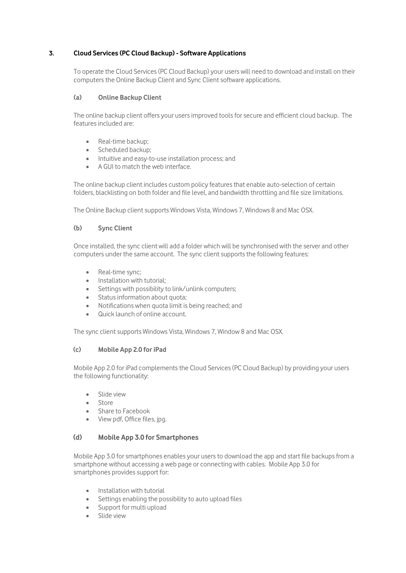# **3. Cloud Services (PC Cloud Backup) - Software Applications**

To operate the Cloud Services (PC Cloud Backup) your users will need to download and install on their computers the Online Backup Client and Sync Client software applications.

## **(a) Online Backup Client**

The online backup client offers your users improved tools for secure and efficient cloud backup. The features included are:

- Real-time backup:
- Scheduled backup;
- Intuitive and easy-to-use installation process; and
- A GUI to match the web interface.

The online backup client includes custom policy features that enable auto-selection of certain folders, blacklisting on both folder and file level, and bandwidth throttling and file size limitations.

The Online Backup client supports Windows Vista, Windows 7, Windows 8 and Mac OSX.

## **(b) Sync Client**

Once installed, the sync client will add a folder which will be synchronised with the server and other computers under the same account. The sync client supports the following features:

- Real-time sync;
- $\bullet$  Installation with tutorial:
- Settings with possibility to link/unlink computers;
- Status information about quota:
- Notifications when quota limit is being reached; and
- Quick launch of online account.

The sync client supports Windows Vista, Windows 7, Window 8 and Mac OSX.

## **(c) Mobile App 2.0 for iPad**

Mobile App 2.0 for iPad complements the Cloud Services (PC Cloud Backup) by providing your users the following functionality:

- · Slide view
- Store
- Share to Facebook
- View pdf, Office files, jpg.

## **(d) Mobile App 3.0 for Smartphones**

Mobile App 3.0 for smartphones enables your users to download the app and start file backups from a smartphone without accessing a web page or connecting with cables. Mobile App 3.0 for smartphones provides support for:

- Installation with tutorial
- Settings enabling the possibility to auto upload files
- Support for multi upload
- Slide view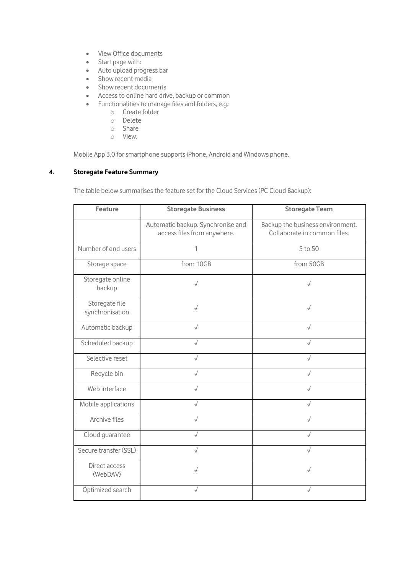- View Office documents
- Start page with:
- Auto upload progress bar
- Show recent media
- Show recent documents
- Access to online hard drive, backup or common
- Functionalities to manage files and folders, e.g.:
	- o Create folder
	- o Delete
	- o Share
	- o View.

Mobile App 3.0 for smartphone supports iPhone, Android and Windows phone.

## **4. Storegate Feature Summary**

The table below summarises the feature set for the Cloud Services (PC Cloud Backup):

| <b>Feature</b>                    | <b>Storegate Business</b>                                        | <b>Storegate Team</b>                                            |
|-----------------------------------|------------------------------------------------------------------|------------------------------------------------------------------|
|                                   | Automatic backup. Synchronise and<br>access files from anywhere. | Backup the business environment.<br>Collaborate in common files. |
| Number of end users               | 1                                                                | 5 to 50                                                          |
| Storage space                     | from 10GB                                                        | from 50GB                                                        |
| Storegate online<br>backup        | $\sqrt{ }$                                                       | $\sqrt{}$                                                        |
| Storegate file<br>synchronisation | $\sqrt{ }$                                                       | $\sqrt{}$                                                        |
| Automatic backup                  | $\sqrt{}$                                                        | $\sqrt{}$                                                        |
| Scheduled backup                  | $\sqrt{}$                                                        |                                                                  |
| Selective reset                   | $\sqrt{}$                                                        |                                                                  |
| Recycle bin                       | $\sqrt{}$                                                        |                                                                  |
| Web interface                     | $\sqrt{ }$                                                       | $\sqrt{}$                                                        |
| Mobile applications               | $\sqrt{}$                                                        | $\sqrt{}$                                                        |
| Archive files                     | $\sqrt{}$                                                        | $\sqrt{}$                                                        |
| Cloud guarantee                   | $\sqrt{}$                                                        | $\sqrt{}$                                                        |
| Secure transfer (SSL)             | $\sqrt{}$                                                        | $\sqrt{}$                                                        |
| Direct access<br>(WebDAV)         | $\sqrt{}$                                                        | √                                                                |
| Optimized search                  |                                                                  |                                                                  |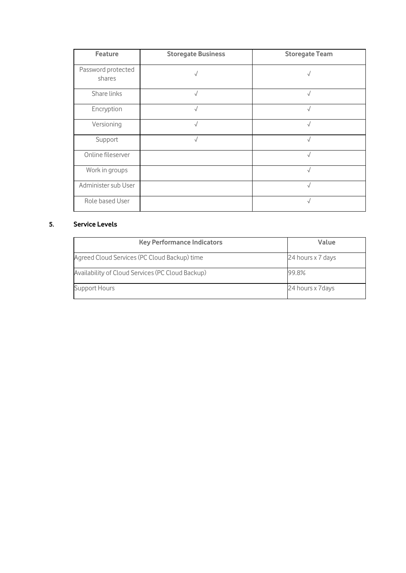| <b>Feature</b>               | <b>Storegate Business</b> | <b>Storegate Team</b> |
|------------------------------|---------------------------|-----------------------|
| Password protected<br>shares | √                         |                       |
| Share links                  |                           |                       |
| Encryption                   |                           |                       |
| Versioning                   |                           |                       |
| Support                      | √                         | $\sqrt{}$             |
| Online fileserver            |                           |                       |
| Work in groups               |                           | $\sqrt{}$             |
| Administer sub User          |                           |                       |
| Role based User              |                           | $\sqrt{2}$            |

# **5. Service Levels**

| <b>Key Performance Indicators</b>                | Value             |
|--------------------------------------------------|-------------------|
| Agreed Cloud Services (PC Cloud Backup) time     | 24 hours x 7 days |
| Availability of Cloud Services (PC Cloud Backup) | 99.8%             |
| <b>Support Hours</b>                             | 24 hours x 7 days |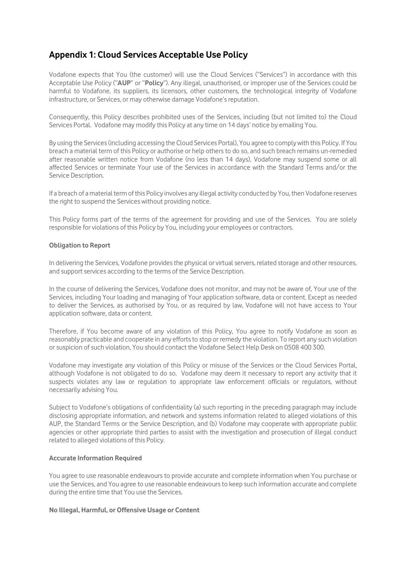# **Appendix 1: Cloud Services Acceptable Use Policy**

Vodafone expects that You (the customer) will use the Cloud Services ("Services") in accordance with this Acceptable Use Policy ("**AUP**" or "**Policy**"). Any illegal, unauthorised, or improper use of the Services could be harmful to Vodafone, its suppliers, its licensors, other customers, the technological integrity of Vodafone infrastructure, or Services, or may otherwise damage Vodafone's reputation.

Consequently, this Policy describes prohibited uses of the Services, including (but not limited to) the Cloud Services Portal. Vodafone may modify this Policy at any time on 14 days' notice by emailing You.

By using the Services (including accessing the Cloud Services Portal), You agree to comply with this Policy. If You breach a material term of this Policy or authorise or help others to do so, and such breach remains un-remedied after reasonable written notice from Vodafone (no less than 14 days), Vodafone may suspend some or all affected Services or terminate Your use of the Services in accordance with the Standard Terms and/or the Service Description.

If a breach of a material term of this Policy involves any illegal activity conducted by You, then Vodafone reserves the right to suspend the Services without providing notice.

This Policy forms part of the terms of the agreement for providing and use of the Services. You are solely responsible for violations of this Policy by You, including your employees or contractors.

#### **Obligation to Report**

In delivering the Services, Vodafone provides the physical or virtual servers, related storage and other resources, and support services according to the terms of the Service Description.

In the course of delivering the Services, Vodafone does not monitor, and may not be aware of, Your use of the Services, including Your loading and managing of Your application software, data or content. Except as needed to deliver the Services, as authorised by You, or as required by law, Vodafone will not have access to Your application software, data or content.

Therefore, if You become aware of any violation of this Policy, You agree to notify Vodafone as soon as reasonably practicable and cooperate in any efforts to stop or remedy the violation. To report any such violation or suspicion of such violation, You should contact the Vodafone Select Help Desk on 0508 400 300.

Vodafone may investigate any violation of this Policy or misuse of the Services or the Cloud Services Portal, although Vodafone is not obligated to do so. Vodafone may deem it necessary to report any activity that it suspects violates any law or regulation to appropriate law enforcement officials or regulators, without necessarily advising You.

Subject to Vodafone's obligations of confidentiality (a) such reporting in the preceding paragraph may include disclosing appropriate information, and network and systems information related to alleged violations of this AUP, the Standard Terms or the Service Description, and (b) Vodafone may cooperate with appropriate public agencies or other appropriate third parties to assist with the investigation and prosecution of illegal conduct related to alleged violations of this Policy.

#### **Accurate Information Required**

You agree to use reasonable endeavours to provide accurate and complete information when You purchase or use the Services, and You agree to use reasonable endeavours to keep such information accurate and complete during the entire time that You use the Services.

## **No Illegal, Harmful, or Offensive Usage or Content**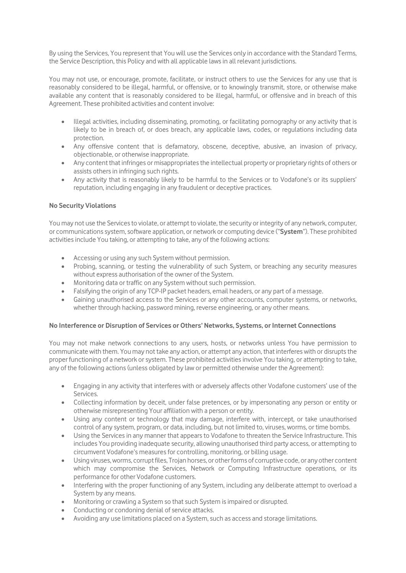By using the Services, You represent that You will use the Services only in accordance with the Standard Terms, the Service Description, this Policy and with all applicable laws in all relevant jurisdictions.

You may not use, or encourage, promote, facilitate, or instruct others to use the Services for any use that is reasonably considered to be illegal, harmful, or offensive, or to knowingly transmit, store, or otherwise make available any content that is reasonably considered to be illegal, harmful, or offensive and in breach of this Agreement. These prohibited activities and content involve:

- Illegal activities, including disseminating, promoting, or facilitating pornography or any activity that is likely to be in breach of, or does breach, any applicable laws, codes, or regulations including data protection.
- Any offensive content that is defamatory, obscene, deceptive, abusive, an invasion of privacy, objectionable, or otherwise inappropriate.
- Any content that infringes or misappropriates the intellectual property or proprietary rights of others or assists others in infringing such rights.
- Any activity that is reasonably likely to be harmful to the Services or to Vodafone's or its suppliers' reputation, including engaging in any fraudulent or deceptive practices.

## **No Security Violations**

You may not use the Services to violate, or attempt to violate, the security or integrity of any network, computer, or communications system, software application, or network or computing device ("**System**"). These prohibited activities include You taking, or attempting to take, any of the following actions:

- Accessing or using any such System without permission.
- Probing, scanning, or testing the vulnerability of such System, or breaching any security measures without express authorisation of the owner of the System.
- Monitoring data or traffic on any System without such permission.
- Falsifying the origin of any TCP-IP packet headers, email headers, or any part of a message.
- Gaining unauthorised access to the Services or any other accounts, computer systems, or networks, whether through hacking, password mining, reverse engineering, or any other means.

## **No Interference or Disruption of Services or Others' Networks, Systems, or Internet Connections**

You may not make network connections to any users, hosts, or networks unless You have permission to communicate with them. You may not take any action, or attempt any action, that interferes with or disrupts the proper functioning of a network or system. These prohibited activities involve You taking, or attempting to take, any of the following actions (unless obligated by law or permitted otherwise under the Agreement):

- Engaging in any activity that interferes with or adversely affects other Vodafone customers' use of the Services.
- Collecting information by deceit, under false pretences, or by impersonating any person or entity or otherwise misrepresenting Your affiliation with a person or entity.
- Using any content or technology that may damage, interfere with, intercept, or take unauthorised control of any system, program, or data, including, but not limited to, viruses, worms, or time bombs.
- Using the Services in any manner that appears to Vodafone to threaten the Service Infrastructure. This includes You providing inadequate security, allowing unauthorised third party access, or attempting to circumvent Vodafone's measures for controlling, monitoring, or billing usage.
- Using viruses, worms, corrupt files, Trojan horses, or other forms of corruptive code, or any other content which may compromise the Services, Network or Computing Infrastructure operations, or its performance for other Vodafone customers.
- Interfering with the proper functioning of any System, including any deliberate attempt to overload a System by any means.
- Monitoring or crawling a System so that such System is impaired or disrupted.
- Conducting or condoning denial of service attacks.
- Avoiding any use limitations placed on a System, such as access and storage limitations.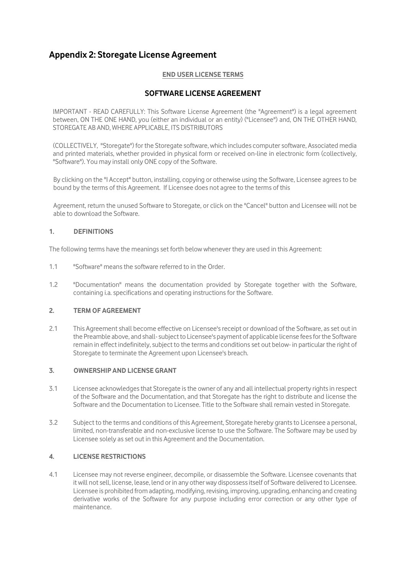# **Appendix 2: Storegate License Agreement**

## **END USER LICENSE TERMS**

# **SOFTWARE LICENSE AGREEMENT**

IMPORTANT - READ CAREFULLY: This Software License Agreement (the "Agreement") is a legal agreement between, ON THE ONE HAND, you (either an individual or an entity) ("Licensee") and, ON THE OTHER HAND, STOREGATE AB AND, WHERE APPLICABLE, ITS DISTRIBUTORS

(COLLECTIVELY, "Storegate") for the Storegate software, which includes computer software, Associated media and printed materials, whether provided in physical form or received on-line in electronic form (collectively, "Software"). You may install only ONE copy of the Software.

By clicking on the "I Accept" button, installing, copying or otherwise using the Software, Licensee agrees to be bound by the terms of this Agreement. If Licensee does not agree to the terms of this

Agreement, return the unused Software to Storegate, or click on the "Cancel" button and Licensee will not be able to download the Software.

## **1. DEFINITIONS**

The following terms have the meanings set forth below whenever they are used in this Agreement:

- 1.1 "Software" means the software referred to in the Order.
- 1.2 "Documentation" means the documentation provided by Storegate together with the Software, containing i.a. specifications and operating instructions for the Software.

# **2. TERM OF AGREEMENT**

2.1 This Agreement shall become effective on Licensee's receipt or download of the Software, as set out in the Preamble above, and shall-subject to Licensee's payment of applicable license fees for the Software remain in effect indefinitely, subject to the terms and conditions set out below- in particular the right of Storegate to terminate the Agreement upon Licensee's breach.

## **3. OWNERSHIP AND LICENSE GRANT**

- 3.1 Licensee acknowledges that Storegate is the owner of any and all intellectual property rights in respect of the Software and the Documentation, and that Storegate has the right to distribute and license the Software and the Documentation to Licensee. Title to the Software shall remain vested in Storegate.
- 3.2 Subject to the terms and conditions of this Agreement, Storegate hereby grants to Licensee a personal, limited, non-transferable and non-exclusive license to use the Software. The Software may be used by Licensee solely as set out in this Agreement and the Documentation.

## **4. LICENSE RESTRICTIONS**

4.1 Licensee may not reverse engineer, decompile, or disassemble the Software. Licensee covenants that it will not sell, license, lease, lend or in any other way dispossess itself of Software delivered to Licensee. Licensee is prohibited from adapting, modifying, revising, improving, upgrading, enhancing and creating derivative works of the Software for any purpose including error correction or any other type of maintenance.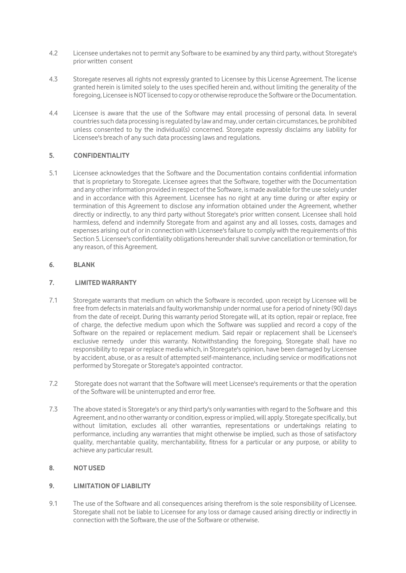- 4.2 Licensee undertakes not to permit any Software to be examined by any third party, without Storegate's prior written consent
- 4.3 Storegate reserves all rights not expressly granted to Licensee by this License Agreement. The license granted herein is limited solely to the uses specified herein and, without limiting the generality of the foregoing, Licensee is NOT licensed to copy or otherwise reproduce the Software or the Documentation.
- 4.4 Licensee is aware that the use of the Software may entail processing of personal data. In several countries such data processing is regulated by law and may, under certain circumstances, be prohibited unless consented to by the individual(s) concerned. Storegate expressly disclaims any liability for Licensee's breach of any such data processing laws and regulations.

# **5. CONFIDENTIALITY**

5.1 Licensee acknowledges that the Software and the Documentation contains confidential information that is proprietary to Storegate. Licensee agrees that the Software, together with the Documentation and any other information provided in respect of the Software, is made available for the use solely under and in accordance with this Agreement. Licensee has no right at any time during or after expiry or termination of this Agreement to disclose any information obtained under the Agreement, whether directly or indirectly, to any third party without Storegate's prior written consent. Licensee shall hold harmless, defend and indemnify Storegate from and against any and all losses, costs, damages and expenses arising out of or in connection with Licensee's failure to comply with the requirements of this Section 5. Licensee's confidentiality obligations hereunder shall survive cancellation or termination, for any reason, of this Agreement.

# **6. BLANK**

# **7. LIMITED WARRANTY**

- 7.1 Storegate warrants that medium on which the Software is recorded, upon receipt by Licensee will be free from defects in materials and faulty workmanship under normal use for a period of ninety (90) days from the date of receipt. During this warranty period Storegate will, at its option, repair or replace, free of charge, the defective medium upon which the Software was supplied and record a copy of the Software on the repaired or replacement medium. Said repair or replacement shall be Licensee's exclusive remedy under this warranty. Notwithstanding the foregoing, Storegate shall have no responsibility to repair or replace media which, in Storegate's opinion, have been damaged by Licensee by accident, abuse, or as a result of attempted self-maintenance, including service or modifications not performed by Storegate or Storegate's appointed contractor.
- 7.2 Storegate does not warrant that the Software will meet Licensee's requirements or that the operation of the Software will be uninterrupted and error free.
- 7.3 The above stated is Storegate's or any third party's only warranties with regard to the Software and this Agreement, and no other warranty or condition, express or implied, will apply. Storegate specifically, but without limitation, excludes all other warranties, representations or undertakings relating to performance, including any warranties that might otherwise be implied, such as those of satisfactory quality, merchantable quality, merchantability, fitness for a particular or any purpose, or ability to achieve any particular result.

## **8. NOT USED**

## **9. LIMITATION OF LIABILITY**

9.1 The use of the Software and all consequences arising therefrom is the sole responsibility of Licensee. Storegate shall not be liable to Licensee for any loss or damage caused arising directly or indirectly in connection with the Software, the use of the Software or otherwise.